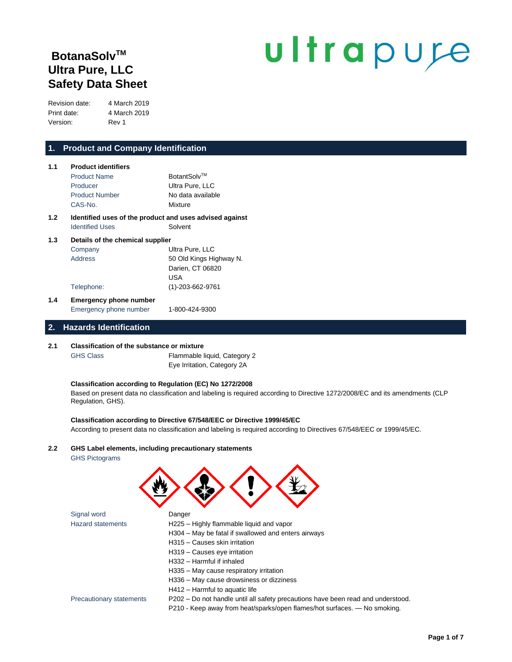# **BotanaSolvTM Ultra Pure, LLC Safety Data Sheet**

# ultrapure

Revision date: 4 March 2019 Print date: 4 March 2019 Version: Rev 1

# **1. Product and Company Identification**

| 1.1 | <b>Product identifiers</b>                              |                         |  |  |
|-----|---------------------------------------------------------|-------------------------|--|--|
|     | <b>Product Name</b>                                     | BotantSolv™             |  |  |
|     | Producer                                                | Ultra Pure, LLC         |  |  |
|     | <b>Product Number</b>                                   | No data available       |  |  |
|     | CAS-No.                                                 | Mixture                 |  |  |
| 1.2 | Identified uses of the product and uses advised against |                         |  |  |
|     | <b>Identified Uses</b>                                  | Solvent                 |  |  |
| 1.3 | Details of the chemical supplier                        |                         |  |  |
|     | Company                                                 | Ultra Pure, LLC         |  |  |
|     | Address                                                 | 50 Old Kings Highway N. |  |  |
|     |                                                         | Darien, CT 06820        |  |  |
|     |                                                         | <b>USA</b>              |  |  |
|     | Telephone:                                              | (1)-203-662-9761        |  |  |

# **1.4 Emergency phone number** Emergency phone number 1-800-424-9300

# **2. Hazards Identification**

#### **2.1 Classification of the substance or mixture**

GHS Class Flammable liquid, Category 2 Eye Irritation, Category 2A

#### **Classification according to Regulation (EC) No 1272/2008**

Based on present data no classification and labeling is required according to Directive 1272/2008/EC and its amendments (CLP Regulation, GHS).

#### **Classification according to Directive 67/548/EEC or Directive 1999/45/EC**

According to present data no classification and labeling is required according to Directives 67/548/EEC or 1999/45/EC.

#### **2.2 GHS Label elements, including precautionary statements** GHS Pictograms

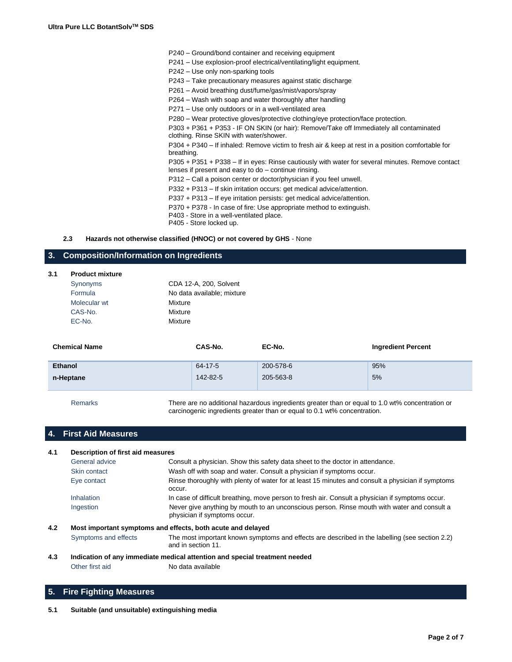| P240 - Ground/bond container and receiving equipment |  |  |
|------------------------------------------------------|--|--|
|------------------------------------------------------|--|--|

- P241 Use explosion-proof electrical/ventilating/light equipment.
- P242 Use only non-sparking tools
- P243 Take precautionary measures against static discharge
- P261 Avoid breathing dust/fume/gas/mist/vapors/spray
- P264 Wash with soap and water thoroughly after handling
- P271 Use only outdoors or in a well-ventilated area

P280 – Wear protective gloves/protective clothing/eye protection/face protection.

P303 + P361 + P353 - IF ON SKIN (or hair): Remove/Take off Immediately all contaminated clothing. Rinse SKIN with water/shower.

P304 + P340 – If inhaled: Remove victim to fresh air & keep at rest in a position comfortable for breathing.

P305 + P351 + P338 – If in eyes: Rinse cautiously with water for several minutes. Remove contact lenses if present and easy to do – continue rinsing.

P312 – Call a poison center or doctor/physician if you feel unwell.

P332 + P313 – If skin irritation occurs: get medical advice/attention.

P337 + P313 – If eye irritation persists: get medical advice/attention.

P370 + P378 - In case of fire: Use appropriate method to extinguish.

P403 - Store in a well-ventilated place.

P405 - Store locked up.

**2.3 Hazards not otherwise classified (HNOC) or not covered by GHS** - None

# **3. Composition/Information on Ingredients**

| 3.1 | <b>Product mixture</b> |                            |        |                           |
|-----|------------------------|----------------------------|--------|---------------------------|
|     | Synonyms               | CDA 12-A, 200, Solvent     |        |                           |
|     | Formula                | No data available; mixture |        |                           |
|     | Molecular wt           | Mixture                    |        |                           |
|     | CAS-No.                | Mixture                    |        |                           |
|     | EC-No.                 | Mixture                    |        |                           |
|     | <b>Chemical Name</b>   | CAS-No.                    | EC-No. | <b>Ingredient Percent</b> |

| <b>Ethanol</b> | 64-17-5  | 200-578-6 | 95% |
|----------------|----------|-----------|-----|
| n-Heptane      | 142-82-5 | 205-563-8 | 5%  |

Remarks There are no additional hazardous ingredients greater than or equal to 1.0 wt% concentration or carcinogenic ingredients greater than or equal to 0.1 wt% concentration.

# **4. First Aid Measures**

#### **4.1 Description of first aid measures** General advice Consult a physician. Show this safety data sheet to the doctor in attendance. Skin contact Wash off with soap and water. Consult a physician if symptoms occur. Eye contact Rinse thoroughly with plenty of water for at least 15 minutes and consult a physician if symptoms occur. Inhalation In case of difficult breathing, move person to fresh air. Consult a physician if symptoms occur. Ingestion Never give anything by mouth to an unconscious person. Rinse mouth with water and consult a physician if symptoms occur. **4.2 Most important symptoms and effects, both acute and delayed** Symptoms and effects The most important known symptoms and effects are described in the labelling (see section 2.2) and in section 11.

# **4.3 Indication of any immediate medical attention and special treatment needed**

Other first aid No data available

# **5. Fire Fighting Measures**

#### **5.1 Suitable (and unsuitable) extinguishing media**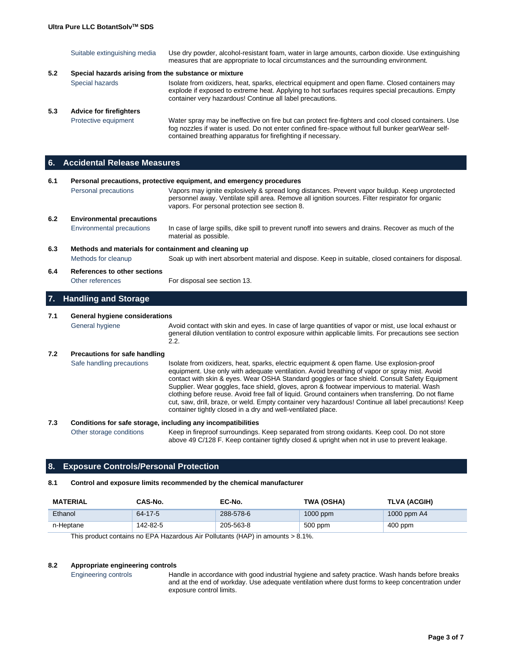|     | Suitable extinguishing media                          | Use dry powder, alcohol-resistant foam, water in large amounts, carbon dioxide. Use extinguishing<br>measures that are appropriate to local circumstances and the surrounding environment.                                                                        |
|-----|-------------------------------------------------------|-------------------------------------------------------------------------------------------------------------------------------------------------------------------------------------------------------------------------------------------------------------------|
| 5.2 | Special hazards arising from the substance or mixture |                                                                                                                                                                                                                                                                   |
|     | Special hazards                                       | Isolate from oxidizers, heat, sparks, electrical equipment and open flame. Closed containers may<br>explode if exposed to extreme heat. Applying to hot surfaces requires special precautions. Empty<br>container very hazardous! Continue all label precautions. |
| 5.3 | <b>Advice for firefighters</b>                        |                                                                                                                                                                                                                                                                   |
|     | Protective equipment                                  | Water spray may be ineffective on fire but can protect fire-fighters and cool closed containers. Use<br>fog nozzles if water is used. Do not enter confined fire-space without full bunker gearWear self-                                                         |

contained breathing apparatus for firefighting if necessary.

**6. Accidental Release Measures**

| 6.1<br>Personal precautions, protective equipment, and emergency procedures |                                                       |                                                                                                                                                                                                                                                                                                                                                                                                                                                                                                                                                                                                                                                                           |
|-----------------------------------------------------------------------------|-------------------------------------------------------|---------------------------------------------------------------------------------------------------------------------------------------------------------------------------------------------------------------------------------------------------------------------------------------------------------------------------------------------------------------------------------------------------------------------------------------------------------------------------------------------------------------------------------------------------------------------------------------------------------------------------------------------------------------------------|
|                                                                             | Personal precautions                                  | Vapors may ignite explosively & spread long distances. Prevent vapor buildup. Keep unprotected<br>personnel away. Ventilate spill area. Remove all ignition sources. Filter respirator for organic<br>vapors. For personal protection see section 8.                                                                                                                                                                                                                                                                                                                                                                                                                      |
| 6.2                                                                         | <b>Environmental precautions</b>                      |                                                                                                                                                                                                                                                                                                                                                                                                                                                                                                                                                                                                                                                                           |
|                                                                             | <b>Environmental precautions</b>                      | In case of large spills, dike spill to prevent runoff into sewers and drains. Recover as much of the<br>material as possible.                                                                                                                                                                                                                                                                                                                                                                                                                                                                                                                                             |
| 6.3                                                                         | Methods and materials for containment and cleaning up |                                                                                                                                                                                                                                                                                                                                                                                                                                                                                                                                                                                                                                                                           |
|                                                                             | Methods for cleanup                                   | Soak up with inert absorbent material and dispose. Keep in suitable, closed containers for disposal.                                                                                                                                                                                                                                                                                                                                                                                                                                                                                                                                                                      |
| 6.4                                                                         | References to other sections                          |                                                                                                                                                                                                                                                                                                                                                                                                                                                                                                                                                                                                                                                                           |
|                                                                             | Other references                                      | For disposal see section 13.                                                                                                                                                                                                                                                                                                                                                                                                                                                                                                                                                                                                                                              |
| 7.                                                                          | <b>Handling and Storage</b>                           |                                                                                                                                                                                                                                                                                                                                                                                                                                                                                                                                                                                                                                                                           |
| 7.1                                                                         | General hygiene considerations                        |                                                                                                                                                                                                                                                                                                                                                                                                                                                                                                                                                                                                                                                                           |
|                                                                             | General hygiene                                       | Avoid contact with skin and eyes. In case of large quantities of vapor or mist, use local exhaust or<br>general dilution ventilation to control exposure within applicable limits. For precautions see section<br>2.2.                                                                                                                                                                                                                                                                                                                                                                                                                                                    |
| 7.2                                                                         | <b>Precautions for safe handling</b>                  |                                                                                                                                                                                                                                                                                                                                                                                                                                                                                                                                                                                                                                                                           |
|                                                                             | Safe handling precautions                             | Isolate from oxidizers, heat, sparks, electric equipment & open flame. Use explosion-proof<br>equipment. Use only with adequate ventilation. Avoid breathing of vapor or spray mist. Avoid<br>contact with skin & eyes. Wear OSHA Standard goggles or face shield. Consult Safety Equipment<br>Supplier. Wear goggles, face shield, gloves, apron & footwear impervious to material. Wash<br>clothing before reuse. Avoid free fall of liquid. Ground containers when transferring. Do not flame<br>cut, saw, drill, braze, or weld. Empty container very hazardous! Continue all label precautions! Keep<br>container tightly closed in a dry and well-ventilated place. |

### **7.3 Conditions for safe storage, including any incompatibilities** Other storage conditions Keep in fireproof surroundings. Keep separated from strong oxidants. Keep cool. Do not store above 49 C/128 F. Keep container tightly closed & upright when not in use to prevent leakage.

# **8. Exposure Controls/Personal Protection**

# **8.1 Control and exposure limits recommended by the chemical manufacturer**

| <b>MATERIAL</b>                                                                                                     | CAS-No.  | EC-No.    | <b>TWA (OSHA)</b> | TLVA (ACGIH) |
|---------------------------------------------------------------------------------------------------------------------|----------|-----------|-------------------|--------------|
| Ethanol                                                                                                             | 64-17-5  | 288-578-6 | $1000$ ppm        | 1000 ppm A4  |
| n-Heptane                                                                                                           | 142-82-5 | 205-563-8 | 500 ppm           | 400 ppm      |
| $\overline{\mathbf{T}}$ ki sa dan sangka sa $\overline{\mathbf{F}}$ DA Hasaalays Ais Dalkaan (HAD) is assays on AA( |          |           |                   |              |

This product contains no EPA Hazardous Air Pollutants (HAP) in amounts > 8.1%.

#### **8.2 Appropriate engineering controls**

Engineering controls Handle in accordance with good industrial hygiene and safety practice. Wash hands before breaks and at the end of workday. Use adequate ventilation where dust forms to keep concentration under exposure control limits.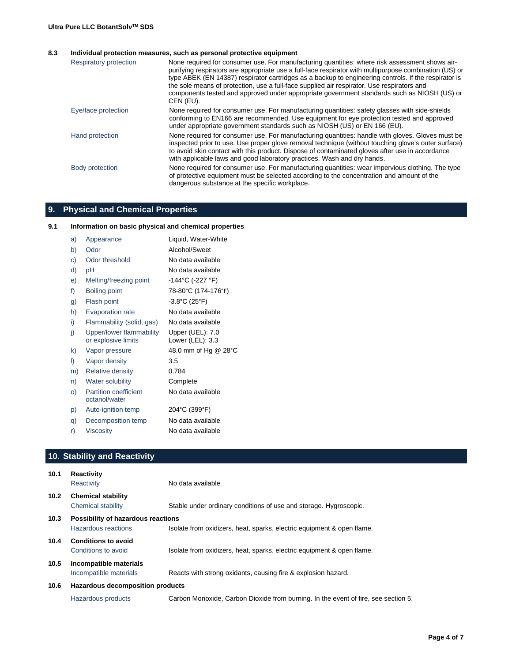#### **8.3 Individual protection measures, such as personal protective equipment**

| Respiratory protection | None required for consumer use. For manufacturing quantities: where risk assessment shows air-<br>purifying respirators are appropriate use a full-face respirator with multipurpose combination (US) or<br>type ABEK (EN 14387) respirator cartridges as a backup to engineering controls. If the respirator is<br>the sole means of protection, use a full-face supplied air respirator. Use respirators and<br>components tested and approved under appropriate government standards such as NIOSH (US) or<br>CEN (EU). |
|------------------------|----------------------------------------------------------------------------------------------------------------------------------------------------------------------------------------------------------------------------------------------------------------------------------------------------------------------------------------------------------------------------------------------------------------------------------------------------------------------------------------------------------------------------|
| Eye/face protection    | None required for consumer use. For manufacturing quantities: safety glasses with side-shields<br>conforming to EN166 are recommended. Use equipment for eye protection tested and approved<br>under appropriate government standards such as NIOSH (US) or EN 166 (EU).                                                                                                                                                                                                                                                   |
| Hand protection        | None required for consumer use. For manufacturing quantities: handle with gloves. Gloves must be<br>inspected prior to use. Use proper glove removal technique (without touching glove's outer surface)<br>to avoid skin contact with this product. Dispose of contaminated gloves after use in accordance<br>with applicable laws and good laboratory practices. Wash and dry hands.                                                                                                                                      |
| Body protection        | None required for consumer use. For manufacturing quantities: wear impervious clothing. The type<br>of protective equipment must be selected according to the concentration and amount of the<br>dangerous substance at the specific workplace.                                                                                                                                                                                                                                                                            |

# **9. Physical and Chemical Properties**

# **9.1 Information on basic physical and chemical properties**

| a) | Appearance                                      | Liquid, Water-White                  |
|----|-------------------------------------------------|--------------------------------------|
| b) | Odor                                            | Alcohol/Sweet                        |
| C) | Odor threshold                                  | No data available                    |
| d) | рH                                              | No data available                    |
| e) | Melting/freezing point                          | -144°C (-227 °F)                     |
| f) | Boiling point                                   | 78-80°C (174-176°F)                  |
| g) | Flash point                                     | $-3.8^{\circ}$ C (25°F)              |
| h) | <b>Evaporation rate</b>                         | No data available                    |
| i) | Flammability (solid, gas)                       | No data available                    |
| j) | Upper/lower flammability<br>or explosive limits | Upper (UEL): 7.0<br>Lower (LEL): 3.3 |
| k) | Vapor pressure                                  | 48.0 mm of Hg @ 28°C                 |
| I) | Vapor density                                   | 3.5                                  |
| m) | <b>Relative density</b>                         | 0.784                                |
| n) | Water solubility                                | Complete                             |
| O) | <b>Partition coefficient</b><br>octanol/water   | No data available                    |
| p) | Auto-ignition temp                              | 204°C (399°F)                        |
| q) | Decomposition temp                              | No data available                    |
| r) | Viscosity                                       | No data available                    |

# **10. Stability and Reactivity**

| 10.1              | Reactivity<br>Reactivity                                  | No data available                                                                  |
|-------------------|-----------------------------------------------------------|------------------------------------------------------------------------------------|
| 10.2 <sub>1</sub> | <b>Chemical stability</b><br>Chemical stability           | Stable under ordinary conditions of use and storage. Hygroscopic.                  |
| 10.3              | Possibility of hazardous reactions<br>Hazardous reactions | Isolate from oxidizers, heat, sparks, electric equipment & open flame.             |
| 10.4              | <b>Conditions to avoid</b><br>Conditions to avoid         | Isolate from oxidizers, heat, sparks, electric equipment & open flame.             |
| 10.5              | Incompatible materials<br>Incompatible materials          | Reacts with strong oxidants, causing fire & explosion hazard.                      |
| 10.6              | Hazardous decomposition products                          |                                                                                    |
|                   | Hazardous products                                        | Carbon Monoxide, Carbon Dioxide from burning. In the event of fire, see section 5. |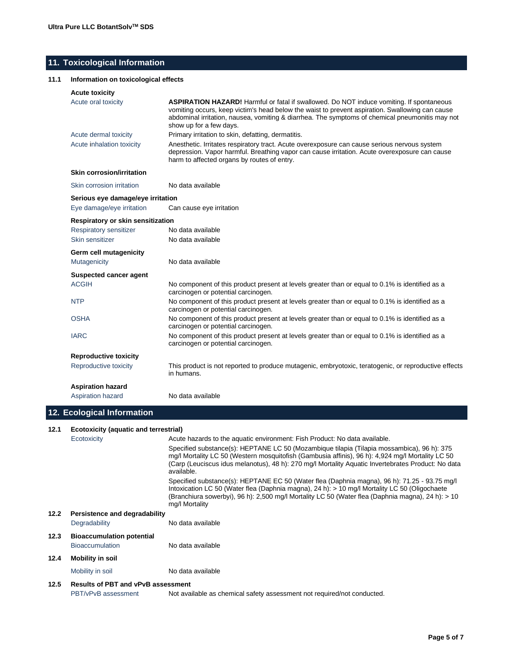# **11. Toxicological Information**

#### **11.1 Information on toxicological effects**

#### **Acute toxicity**

| www.comun                                |                                                                                                                                                                                                                                                                                                                                  |
|------------------------------------------|----------------------------------------------------------------------------------------------------------------------------------------------------------------------------------------------------------------------------------------------------------------------------------------------------------------------------------|
| Acute oral toxicity                      | <b>ASPIRATION HAZARD!</b> Harmful or fatal if swallowed. Do NOT induce vomiting. If spontaneous<br>vomiting occurs, keep victim's head below the waist to prevent aspiration. Swallowing can cause<br>abdominal irritation, nausea, vomiting & diarrhea. The symptoms of chemical pneumonitis may not<br>show up for a few days. |
| Acute dermal toxicity                    | Primary irritation to skin, defatting, dermatitis.                                                                                                                                                                                                                                                                               |
| Acute inhalation toxicity                | Anesthetic. Irritates respiratory tract. Acute overexposure can cause serious nervous system<br>depression. Vapor harmful. Breathing vapor can cause irritation. Acute overexposure can cause<br>harm to affected organs by routes of entry.                                                                                     |
| <b>Skin corrosion/irritation</b>         |                                                                                                                                                                                                                                                                                                                                  |
| Skin corrosion irritation                | No data available                                                                                                                                                                                                                                                                                                                |
| Serious eye damage/eye irritation        |                                                                                                                                                                                                                                                                                                                                  |
| Eye damage/eye irritation                | Can cause eye irritation                                                                                                                                                                                                                                                                                                         |
| <b>Respiratory or skin sensitization</b> |                                                                                                                                                                                                                                                                                                                                  |
| Respiratory sensitizer                   | No data available                                                                                                                                                                                                                                                                                                                |
| Skin sensitizer                          | No data available                                                                                                                                                                                                                                                                                                                |
| Germ cell mutagenicity                   |                                                                                                                                                                                                                                                                                                                                  |
| Mutagenicity                             | No data available                                                                                                                                                                                                                                                                                                                |
| <b>Suspected cancer agent</b>            |                                                                                                                                                                                                                                                                                                                                  |
| <b>ACGIH</b>                             | No component of this product present at levels greater than or equal to 0.1% is identified as a<br>carcinogen or potential carcinogen.                                                                                                                                                                                           |
| <b>NTP</b>                               | No component of this product present at levels greater than or equal to 0.1% is identified as a<br>carcinogen or potential carcinogen.                                                                                                                                                                                           |
| <b>OSHA</b>                              | No component of this product present at levels greater than or equal to 0.1% is identified as a<br>carcinogen or potential carcinogen.                                                                                                                                                                                           |
| <b>IARC</b>                              | No component of this product present at levels greater than or equal to 0.1% is identified as a<br>carcinogen or potential carcinogen.                                                                                                                                                                                           |
| <b>Reproductive toxicity</b>             |                                                                                                                                                                                                                                                                                                                                  |
| Reproductive toxicity                    | This product is not reported to produce mutagenic, embryotoxic, teratogenic, or reproductive effects<br>in humans.                                                                                                                                                                                                               |
| <b>Aspiration hazard</b>                 |                                                                                                                                                                                                                                                                                                                                  |
| <b>Aspiration hazard</b>                 | No data available                                                                                                                                                                                                                                                                                                                |

# **12. Ecological Information**

#### **12.1 Ecotoxicity (aquatic and terrestrial)**

Ecotoxicity Acute hazards to the aquatic environment: Fish Product: No data available.

Specified substance(s): HEPTANE LC 50 (Mozambique tilapia (Tilapia mossambica), 96 h): 375 mg/l Mortality LC 50 (Western mosquitofish (Gambusia affinis), 96 h): 4,924 mg/l Mortality LC 50 (Carp (Leuciscus idus melanotus), 48 h): 270 mg/l Mortality Aquatic Invertebrates Product: No data available. Specified substance(s): HEPTANE EC 50 (Water flea (Daphnia magna), 96 h): 71.25 - 93.75 mg/l Intoxication LC 50 (Water flea (Daphnia magna), 24 h): > 10 mg/l Mortality LC 50 (Oligochaete (Branchiura sowerbyi), 96 h): 2,500 mg/l Mortality LC 50 (Water flea (Daphnia magna), 24 h): > 10 mg/l Mortality **12.2 Persistence and degradability** Degradability No data available **12.3 Bioaccumulation potential** Bioaccumulation No data available **12.4 Mobility in soil** Mobility in soil No data available

# **12.5 Results of PBT and vPvB assessment**

PBT/vPvB assessment Not available as chemical safety assessment not required/not conducted.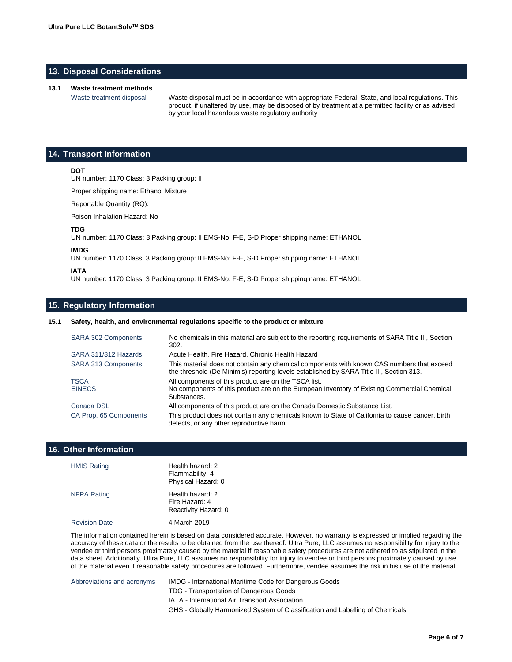# **13. Disposal Considerations**

#### **13.1 Waste treatment methods**

Waste treatment disposal Waste disposal must be in accordance with appropriate Federal, State, and local regulations. This product, if unaltered by use, may be disposed of by treatment at a permitted facility or as advised by your local hazardous waste regulatory authority

# **14. Transport Information**

#### **DOT**

UN number: 1170 Class: 3 Packing group: II

Proper shipping name: Ethanol Mixture

Reportable Quantity (RQ):

Poison Inhalation Hazard: No

#### **TDG**

UN number: 1170 Class: 3 Packing group: II EMS-No: F-E, S-D Proper shipping name: ETHANOL

#### **IMDG**

UN number: 1170 Class: 3 Packing group: II EMS-No: F-E, S-D Proper shipping name: ETHANOL

#### **IATA**

UN number: 1170 Class: 3 Packing group: II EMS-No: F-E, S-D Proper shipping name: ETHANOL

# **15. Regulatory Information**

#### **15.1 Safety, health, and environmental regulations specific to the product or mixture**

| <b>SARA 302 Components</b>   | No chemicals in this material are subject to the reporting requirements of SARA Title III, Section<br>302.                                                                           |
|------------------------------|--------------------------------------------------------------------------------------------------------------------------------------------------------------------------------------|
| SARA 311/312 Hazards         | Acute Health, Fire Hazard, Chronic Health Hazard                                                                                                                                     |
| <b>SARA 313 Components</b>   | This material does not contain any chemical components with known CAS numbers that exceed<br>the threshold (De Minimis) reporting levels established by SARA Title III, Section 313. |
| <b>TSCA</b><br><b>EINECS</b> | All components of this product are on the TSCA list.<br>No components of this product are on the European Inventory of Existing Commercial Chemical<br>Substances.                   |
| Canada DSL                   | All components of this product are on the Canada Domestic Substance List.                                                                                                            |
| CA Prop. 65 Components       | This product does not contain any chemicals known to State of California to cause cancer, birth<br>defects, or any other reproductive harm.                                          |

#### **16. Other Information**

| <b>HMIS Rating</b>   | Health hazard: 2<br>Flammability: 4<br>Physical Hazard: 0  |
|----------------------|------------------------------------------------------------|
| <b>NFPA Rating</b>   | Health hazard: 2<br>Fire Hazard: 4<br>Reactivity Hazard: 0 |
| <b>Revision Date</b> | 4 March 2019                                               |

The information contained herein is based on data considered accurate. However, no warranty is expressed or implied regarding the accuracy of these data or the results to be obtained from the use thereof. Ultra Pure, LLC assumes no responsibility for injury to the vendee or third persons proximately caused by the material if reasonable safety procedures are not adhered to as stipulated in the data sheet. Additionally, Ultra Pure, LLC assumes no responsibility for injury to vendee or third persons proximately caused by use of the material even if reasonable safety procedures are followed. Furthermore, vendee assumes the risk in his use of the material.

Abbreviations and acronyms IMDG - International Maritime Code for Dangerous Goods TDG - Transportation of Dangerous Goods IATA - International Air Transport Association GHS - Globally Harmonized System of Classification and Labelling of Chemicals